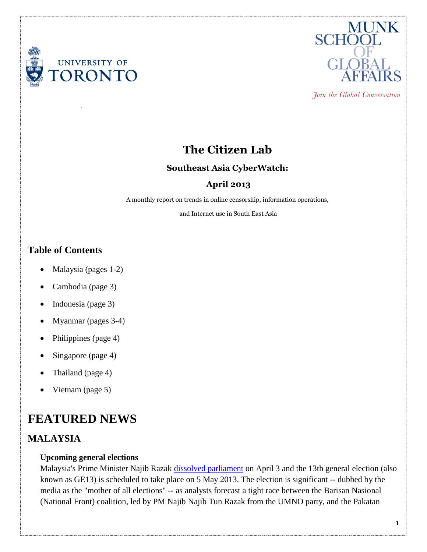



Join the Global Conversation

# **The Citizen Lab**

## **Southeast Asia CyberWatch:**

# **April 2013**

A monthly report on trends in online censorship, information operations,

and Internet use in South East Asia

# **Table of Contents**

- Malaysia (pages 1-2)
- Cambodia (page 3)
- Indonesia (page 3)
- Myanmar (pages 3-4)
- Philippines (page 4)
- Singapore (page 4)
- Thailand (page 4)
- Vietnam (page 5)

# **FEATURED NEWS**

## **MALAYSIA**

### **Upcoming general elections**

Malaysia's Prime Minister Najib Razak [dissolved parliament](http://www.aljazeera.com/news/asia-pacific/2013/04/20134343738431861.html) on April 3 and the 13th general election (also known as GE13) is scheduled to take place on 5 May 2013. The election is significant -- dubbed by the media as the "mother of all elections" -- as analysts forecast a tight race between the Barisan Nasional (National Front) coalition, led by PM Najib Najib Tun Razak from the UMNO party, and the Pakatan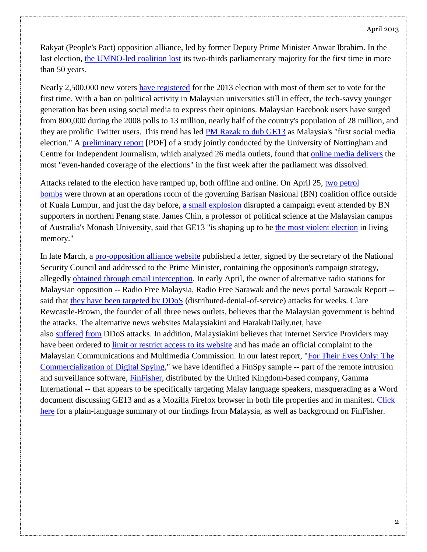Rakyat (People's Pact) opposition alliance, led by former Deputy Prime Minister Anwar Ibrahim. In the last election, [the UMNO-led coalition lost](http://www.ft.com/cms/s/0/702ceea0-b19d-11e2-b324-00144feabdc0.html#axzz2S9JN3CVs) its two-thirds parliamentary majority for the first time in more than 50 years.

Nearly 2,500,000 new voters [have registered](http://www.abc.net.au/news/2013-04-10/malaysia-election/4620504) for the 2013 election with most of them set to vote for the first time. With a ban on political activity in Malaysian universities still in effect, the tech-savvy younger generation has been using social media to express their opinions. Malaysian Facebook users have surged from 800,000 during the 2008 polls to 13 million, nearly half of the country's population of 28 million, and they are prolific Twitter users. This trend has led [PM Razak to dub GE13](http://www.france24.com/en/20130425-malaysian-youth-pivotal-social-media-election) as Malaysia's "first social media election." A [preliminary report](http://pilihanraya.info/wp-content/uploads/2012/10/WtW.Release.1.11.pdf) [PDF] of a study jointly conducted by the University of Nottingham and Centre for Independent Journalism, which analyzed 26 media outlets, found that [online media delivers](http://www.malaysiakini.com/news/227832) the most "even-handed coverage of the elections" in the first week after the parliament was dissolved.

Attacks related to the election have ramped up, both offline and online. On April 25, [two petrol](http://www.asiaone.com/News/AsiaOne+News/Malaysia/Story/A1Story20130424-418166.html)  [bombs](http://www.asiaone.com/News/AsiaOne+News/Malaysia/Story/A1Story20130424-418166.html) were thrown at an operations room of the governing Barisan Nasional (BN) coalition office outside of Kuala Lumpur, and just the day before, [a small explosion](http://www.bloomberg.com/news/2013-04-24/explosions-arson-disrupt-najib-s-malaysia-election-campaign-1-.html) disrupted a campaign event attended by BN supporters in northern Penang state. James Chin, a professor of political science at the Malaysian campus of Australia's Monash University, said that GE13 "is shaping up to be [the most violent election](http://www.smh.com.au/world/attacks-mar-malaysias-election-campaign-20130425-2igdj.html) in living memory."

In late March, a [pro-opposition alliance website](http://milosuam.blogspot.ca/2013/03/bukti-najib-guna-majlis-keselamatan.html) published a letter, signed by the secretary of the National Security Council and addressed to the Prime Minister, containing the opposition's campaign strategy, allegedly [obtained through email interception.](http://www.freemalaysiatoday.com/category/nation/2013/03/22/najib-intercepting-pakatans-e-mails/) In early April, the owner of alternative radio stations for Malaysian opposition -- Radio Free Malaysia, Radio Free Sarawak and the news portal Sarawak Report - said that [they have been targeted by DDoS](http://techpresident.com/news/wegov/23732/alternative-radio-stations-malaysian-opposition-assert-cyber-attack-government) (distributed-denial-of-service) attacks for weeks. Clare Rewcastle-Brown, the founder of all three news outlets, believes that the Malaysian government is behind the attacks. The alternative news websites Malaysiakini and HarakahDaily.net, have also [suffered](http://www.malaysia-chronicle.com/index.php?option=com_k2&view=item&id=82061:harakahdaily-under-attack-vows-to-stay-afloat&Itemid=2) [from](http://www.trust.org/item/20130501220000.0000-5onwz/) DDoS attacks. In addition, Malaysiakini believes that Internet Service Providers may have been ordered to [limit or restrict access to its website](http://www.malaysiakini.com/news/228203) and has made an official complaint to the Malaysian Communications and Multimedia Commission. In our latest report, ["For Their Eyes Only: The](https://citizenlab.org/2013/04/for-their-eyes-only-2/)  [Commercialization of Digital Spying,](https://citizenlab.org/2013/04/for-their-eyes-only-2/)" we have identified a FinSpy sample -- part of the remote intrusion and surveillance software, [FinFisher,](https://citizenlab.org/tag/finfisher/) distributed by the United Kingdom-based company, Gamma International -- that appears to be specifically targeting Malay language speakers, masquerading as a Word document discussing GE13 and as a Mozilla Firefox browser in both file properties and in manifest. [Click](https://citizenlab.org/wp-content/uploads/2013/05/shortbg-malaysia1.pdf)  [here](https://citizenlab.org/wp-content/uploads/2013/05/shortbg-malaysia1.pdf) for a plain-language summary of our findings from Malaysia, as well as background on FinFisher.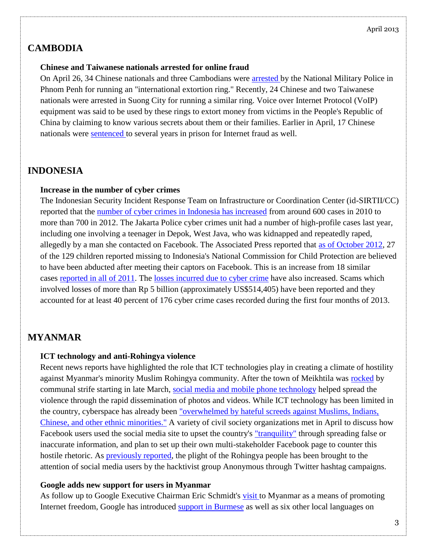#### April 2013

# **CAMBODIA**

#### **Chinese and Taiwanese nationals arrested for online fraud**

On April 26, 34 Chinese nationals and three Cambodians were [arrested](http://www.cambodiadaily.com/news/chinese-taiwanese-nationals-nabbed-in-phone-extortion-rings-20466/) by the National Military Police in Phnom Penh for running an "international extortion ring." Recently, 24 Chinese and two Taiwanese nationals were arrested in Suong City for running a similar ring. Voice over Internet Protocol (VoIP) equipment was said to be used by these rings to extort money from victims in the People's Republic of China by claiming to know various secrets about them or their families. Earlier in April, 17 Chinese nationals were [sentenced](http://www.thecambodiaherald.com/cambodia/detail/1?page=15&token=NzVkYzBlMTMyMzQ) to several years in prison for Internet fraud as well.

## **INDONESIA**

#### **Increase in the number of cyber crimes**

The Indonesian Security Incident Response Team on Infrastructure or Coordination Center (id-SIRTII/CC) reported that the [number of cyber crimes in Indonesia has increased](http://www.thejakartapost.com/news/2013/04/09/scams-haunt-netizens-rapid-online-era.html) from around 600 cases in 2010 to more than 700 in 2012. The Jakarta Police cyber crimes unit had a number of high-profile cases last year, including one involving a teenager in Depok, West Java, who was kidnapped and repeatedly raped, allegedly by a man she contacted on Facebook. The Associated Press reported that [as of October 2012,](http://www.usatoday.com/story/news/world/2012/10/29/facebook-used-to-kidnap-traffic-indonesian-girls/1665321/) 27 of the 129 children reported missing to Indonesia's National Commission for Child Protection are believed to have been abducted after meeting their captors on Facebook. This is an increase from 18 similar cases [reported in all of 2011.](http://www.usatoday.com/story/news/world/2012/10/29/facebook-used-to-kidnap-traffic-indonesian-girls/1665321/) The [losses incurred due to cyber crime](http://www.thejakartapost.com/news/2013/04/22/more-love-can-be-lost-internet.html) have also increased. Scams which involved losses of more than Rp 5 billion (approximately US\$514,405) have been reported and they accounted for at least 40 percent of 176 cyber crime cases recorded during the first four months of 2013.

## **MYANMAR**

### **ICT technology and anti-Rohingya violence**

Recent news reports have highlighted the role that ICT technologies play in creating a climate of hostility against Myanmar's minority Muslim Rohingya community. After the town of Meikhtila was [rocked](http://www.irrawaddy.org/archives/31756) by communal strife starting in late March, [social media and mobile phone technology](http://www.theinternational.org/articles/387-myanmar-goes-digital-violent-ramificatio) helped spread the violence through the rapid dissemination of photos and videos. While ICT technology has been limited in the country, cyberspace has already been ["overwhelmed by hateful screeds against Muslims, Indians,](http://www.cfr.org/burmamyanmar/myanmars-alarming-civil-unrest/p30414)  [Chinese, and other ethnic minorities."](http://www.cfr.org/burmamyanmar/myanmars-alarming-civil-unrest/p30414) A variety of civil society organizations met in April to discuss how Facebook users used the social media site to upset the country's ["tranquility"](http://news.asiaone.com/News/AsiaOne%2BNews/Asia/Story/A1Story20130426-418521.html) through spreading false or inaccurate information, and plan to set up their own multi-stakeholder Facebook page to counter this hostile rhetoric. As **previously reported**, the plight of the Rohingya people has been brought to the attention of social media users by the hacktivist group Anonymous through Twitter hashtag campaigns.

### **Google adds new support for users in Myanmar**

As follow up to Google Executive Chairman Eric Schmidt's [visit](https://citizenlab.org/2013/04/southeast-asia-cyberwatch-march-2013/#myanmar) to Myanmar as a means of promoting Internet freedom, Google has introduced [support in Burmese](http://thenextweb.com/asia/2013/04/05/myanmar-boosted-as-google-search-gets-local-language-support-price-of-sim-cards-set-to-fall/) as well as six other local languages on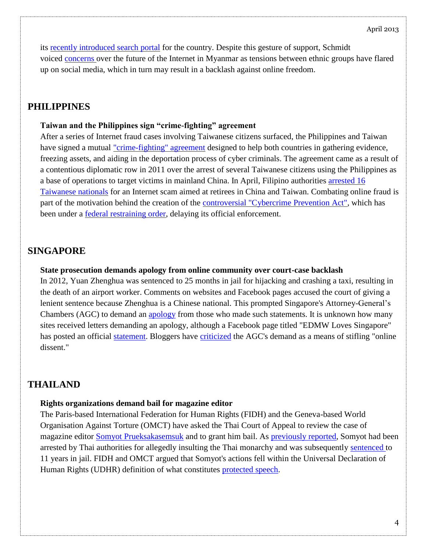its [recently introduced search portal](http://www.google.com.mm/) for the country. Despite this gesture of support, Schmidt voiced [concerns](http://blogs.wsj.com/searealtime/2013/04/02/googles-schmidt-sees-dangerous-period-in-myanmar/) over the future of the Internet in Myanmar as tensions between ethnic groups have flared up on social media, which in turn may result in a backlash against online freedom.

## **PHILIPPINES**

#### **Taiwan and the Philippines sign "crime-fighting" agreement**

After a series of Internet fraud cases involving Taiwanese citizens surfaced, the Philippines and Taiwan have signed a mutual ["crime-fighting" agreement](http://www.gmanetwork.com/news/story/305279/news/nation/taiwan-philippines-sign-crime-fighting-pact) designed to help both countries in gathering evidence, freezing assets, and aiding in the deportation process of cyber criminals. The agreement came as a result of a contentious diplomatic row in 2011 over the arrest of several Taiwanese citizens using the Philippines as a base of operations to target victims in mainland China. In April, Filipino authorities [arrested 16](http://www.gulf-times.com/asean-philippines/188/details/347993/16-taiwanese-held-over-online-fraud)  [Taiwanese nationals](http://www.gulf-times.com/asean-philippines/188/details/347993/16-taiwanese-held-over-online-fraud) for an Internet scam aimed at retirees in China and Taiwan. Combating online fraud is part of the motivation behind the creation of the [controversial "Cybercrime Prevention Act",](https://citizenlab.org/2012/06/southeast-asia-cyber-watch-june-2012-2/#ph) which has been under a [federal restraining order,](https://citizenlab.org/2013/02/southeast-asia-cyberwatch-january-2013-2/#philippines) delaying its official enforcement.

## **SINGAPORE**

#### **State prosecution demands apology from online community over court-case backlash**

In 2012, Yuan Zhenghua was sentenced to 25 months in jail for hijacking and crashing a taxi, resulting in the death of an airport worker. Comments on websites and Facebook pages accused the court of giving a lenient sentence because Zhenghua is a Chinese national. This prompted Singapore's Attorney-General's Chambers (AGC) to demand an [apology](http://asiancorrespondent.com/105649/singapores-state-prosecution-demands-apology-for-facebook-comments/) from those who made such statements. It is unknown how many sites received letters demanding an apology, although a Facebook page titled "EDMW Loves Singapore" has posted an official [statement.](https://www.facebook.com/photo.php?fbid=439573512794467&set=a.287232731361880.67596.286603891424764&type=1) Bloggers have [criticized](http://www.tremeritus.com/2013/04/18/singapore-judiciary-demands-apology-for-web-backlash/) the AGC's demand as a means of stifling "online dissent."

## **THAILAND**

#### **Rights organizations demand bail for magazine editor**

The Paris-based International Federation for Human Rights (FIDH) and the Geneva-based World Organisation Against Torture (OMCT) have asked the Thai Court of Appeal to review the case of magazine editor [Somyot Prueksakasemsuk](http://www.bangkokpost.com/breakingnews/344112/international-rights-groups-join-clamour-for-bail-for-somyot) and to grant him bail. As [previously reported,](https://citizenlab.org/2012/09/southeast-asia-cyberwatch-september-2012/#thailand) Somyot had been arrested by Thai authorities for allegedly insulting the Thai monarchy and was subsequently [sentenced](http://www.theaustralian.com.au/news/world/activist-somyot-prueksakasemsuk-jailed-for-11-years-under-thailands-lese-majeste-laws/story-e6frg6so-1226560351347) to 11 years in jail. FIDH and OMCT argued that Somyot's actions fell within the Universal Declaration of Human Rights (UDHR) definition of what constitutes [protected speech.](http://www.bangkokpost.com/breakingnews/344112/international-rights-groups-join-clamour-for-bail-for-somyot)